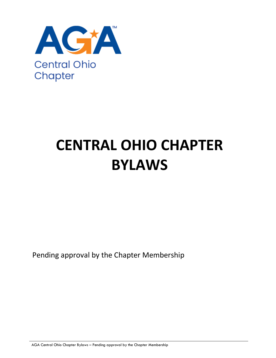

# **CENTRAL OHIO CHAPTER BYLAWS**

Pending approval by the Chapter Membership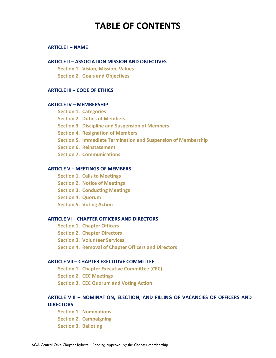# **TABLE OF CONTENTS**

### **ARTICLE I – NAME**

### **ARTICLE II – ASSOCIATION MISSION AND OBJECTIVES**

**Section 1. Vision, Mission, Values Section 2. Goals and Objectives**

### **ARTICLE III – CODE OF ETHICS**

### **ARTICLE IV – MEMBERSHIP**

- **Section 1. Categories**
- **Section 2. Duties of Members**
- **Section 3. Discipline and Suspension of Members**
- **Section 4. Resignation of Members**
- **Section 5. Immediate Termination and Suspension of Membership**
- **Section 6. Reinstatement**
- **Section 7. Communications**

### **ARTICLE V – MEETINGS OF MEMBERS**

- **Section 1. Calls to Meetings**
- **Section 2. Notice of Meetings**
- **Section 3. Conducting Meetings**
- **Section 4. Quorum**
- **Section 5. Voting Action**

### **ARTICLE VI – CHAPTER OFFICERS AND DIRECTORS**

- **Section 1. Chapter Officers**
- **Section 2. Chapter Directors**
- **Section 3. Volunteer Services**
- **Section 4. Removal of Chapter Officers and Directors**

#### **ARTICLE VII – CHAPTER EXECUTIVE COMMITTEE**

- **Section 1. Chapter Executive Committee (CEC)**
- **Section 2. CEC Meetings**
- **Section 3. CEC Quorum and Voting Action**

### **ARTICLE VIII – NOMINATION, ELECTION, AND FILLING OF VACANCIES OF OFFICERS AND DIRECTORS**

- **Section 1. Nominations Section 2. Campaigning**
- **Section 3. Balloting**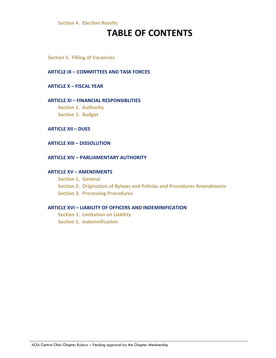### **Section 4. Election Results**

# **TABLE OF CONTENTS**

**Section 5. Filling of Vacancies**

### **ARTICLE IX – COMMITTEES AND TASK FORCES**

#### **ARTICLE X – FISCAL YEAR**

### **ARTICLE XI – FINANCIAL RESPONSIBLITIES**

**Section 1. Authority Section 2. Budget** 

### **ARTICLE XII – DUES**

#### **ARTICLE XIII – DISSOLUTION**

### **ARTICLE XIV – PARLIAMENTARY AUTHORITY**

### **ARTICLE XV – AMENDMENTS**

**Section 1. General Section 2. Origination of Bylaws and Policies and Procedures Amendments Section 3. Processing Procedures** 

#### **ARTICLE XVI – LIABILITY OF OFFICERS AND INDEMINIFICATION**

**Section 1. Limitation on Liability Section 2. Indemnification**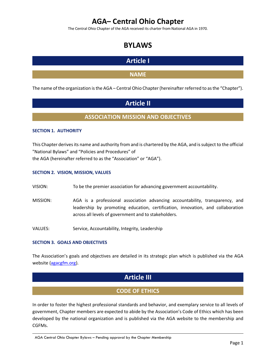# **AGA– Central Ohio Chapter**

The Central Ohio Chapter of the AGA received its charter from National AGA in 1970.

# **BYLAWS**

# **Article I**

### **NAME**

The name of the organization is the AGA – Central Ohio Chapter (hereinafter referred to as the "Chapter").

# **Article II**

### **ASSOCIATION MISSION AND OBJECTIVES**

### **SECTION 1. AUTHORITY**

This Chapter derives its name and authority from and is chartered by the AGA, and is subject to the official "National Bylaws" and "Policies and Procedures" of the AGA (hereinafter referred to as the "Association" or "AGA").

### **SECTION 2. VISION, MISSION, VALUES**

VISION: To be the premier association for advancing government accountability.

- MISSION: AGA is a professional association advancing accountability, transparency, and leadership by promoting education, certification, innovation, and collaboration across all levels of government and to stakeholders.
- VALUES: Service, Accountability, Integrity, Leadership

### **SECTION 3. GOALS AND OBJECTIVES**

The Association's goals and objectives are detailed in its strategic plan which is published via the AGA website [\(agacgfm.org\)](https://www.agacgfm.org/About/Strategic-Goals.aspx).

# **Article III**

### **CODE OF ETHICS**

In order to foster the highest professional standards and behavior, and exemplary service to all levels of government, Chapter members are expected to abide by the Association's Code of Ethics which has been developed by the national organization and is published via the AGA website to the membership and CGFMs.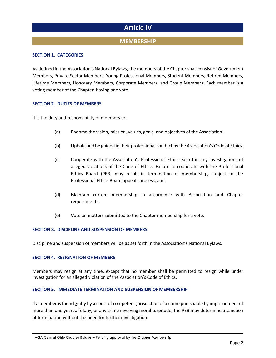# **Article IV**

### **MEMBERSHIP**

### **SECTION 1. CATEGORIES**

As defined in the Association's National Bylaws, the members of the Chapter shall consist of Government Members, Private Sector Members, Young Professional Members, Student Members, Retired Members, Lifetime Members, Honorary Members, Corporate Members, and Group Members. Each member is a voting member of the Chapter, having one vote.

### **SECTION 2. DUTIES OF MEMBERS**

It is the duty and responsibility of members to:

- (a) Endorse the vision, mission, values, goals, and objectives of the Association.
- (b) Uphold and be guided in their professional conduct by the Association's Code of Ethics.
- (c) Cooperate with the Association's Professional Ethics Board in any investigations of alleged violations of the Code of Ethics. Failure to cooperate with the Professional Ethics Board (PEB) may result in termination of membership, subject to the Professional Ethics Board appeals process; and
- (d) Maintain current membership in accordance with Association and Chapter requirements.
- (e) Vote on matters submitted to the Chapter membership for a vote.

### **SECTION 3. DISCIPLINE AND SUSPENSION OF MEMBERS**

Discipline and suspension of members will be as set forth in the Association's National Bylaws.

#### **SECTION 4. RESIGNATION OF MEMBERS**

Members may resign at any time, except that no member shall be permitted to resign while under investigation for an alleged violation of the Association's Code of Ethics.

### **SECTION 5. IMMEDIATE TERMINATION AND SUSPENSION OF MEMBERSHIP**

If a member is found guilty by a court of competent jurisdiction of a crime punishable by imprisonment of more than one year, a felony, or any crime involving moral turpitude, the PEB may determine a sanction of termination without the need for further investigation.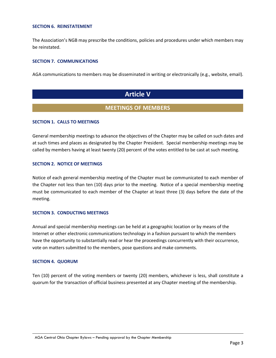#### **SECTION 6. REINSTATEMENT**

The Association's NGB may prescribe the conditions, policies and procedures under which members may be reinstated.

### **SECTION 7. COMMUNICATIONS**

AGA communications to members may be disseminated in writing or electronically (e.g., website, email).

# **Article V**

### **MEETINGS OF MEMBERS**

### **SECTION 1. CALLS TO MEETINGS**

General membership meetings to advance the objectives of the Chapter may be called on such dates and at such times and places as designated by the Chapter President. Special membership meetings may be called by members having at least twenty (20) percent of the votes entitled to be cast at such meeting.

### **SECTION 2. NOTICE OF MEETINGS**

Notice of each general membership meeting of the Chapter must be communicated to each member of the Chapter not less than ten (10) days prior to the meeting. Notice of a special membership meeting must be communicated to each member of the Chapter at least three (3) days before the date of the meeting.

### **SECTION 3. CONDUCTING MEETINGS**

Annual and special membership meetings can be held at a geographic location or by means of the Internet or other electronic communications technology in a fashion pursuant to which the members have the opportunity to substantially read or hear the proceedings concurrently with their occurrence, vote on matters submitted to the members, pose questions and make comments.

#### **SECTION 4. QUORUM**

Ten (10) percent of the voting members or twenty (20) members, whichever is less, shall constitute a quorum for the transaction of official business presented at any Chapter meeting of the membership.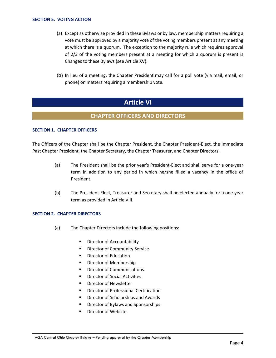- (a) Except as otherwise provided in these Bylaws or by law, membership matters requiring a vote must be approved by a majority vote of the voting members present at any meeting at which there is a quorum. The exception to the majority rule which requires approval of 2/3 of the voting members present at a meeting for which a quorum is present is Changes to these Bylaws (see Article XV).
- (b) In lieu of a meeting, the Chapter President may call for a poll vote (via mail, email, or phone) on matters requiring a membership vote.

# **Article VI**

### **CHAPTER OFFICERS AND DIRECTORS**

### **SECTION 1. CHAPTER OFFICERS**

The Officers of the Chapter shall be the Chapter President, the Chapter President-Elect, the Immediate Past Chapter President, the Chapter Secretary, the Chapter Treasurer, and Chapter Directors.

- (a) The President shall be the prior year's President-Elect and shall serve for a one-year term in addition to any period in which he/she filled a vacancy in the office of President.
- (b) The President-Elect, Treasurer and Secretary shall be elected annually for a one-year term as provided in Article VIII.

### **SECTION 2. CHAPTER DIRECTORS**

- (a) The Chapter Directors include the following positions:
	- **•** Director of Accountability
	- **•** Director of Community Service
	- **Director of Education**
	- **•** Director of Membership
	- **•** Director of Communications
	- **•** Director of Social Activities
	- **Director of Newsletter**
	- **Director of Professional Certification**
	- **Director of Scholarships and Awards**
	- Director of Bylaws and Sponsorships
	- Director of Website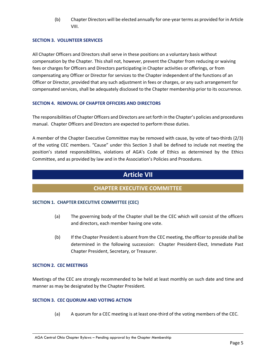(b) Chapter Directors will be elected annually for one-year terms as provided for in Article VIII.

### **SECTION 3. VOLUNTEER SERVICES**

All Chapter Officers and Directors shall serve in these positions on a voluntary basis without compensation by the Chapter. This shall not, however, prevent the Chapter from reducing or waiving fees or charges for Officers and Directors participating in Chapter activities or offerings, or from compensating any Officer or Director for services to the Chapter independent of the functions of an Officer or Director, provided that any such adjustment in fees or charges, or any such arrangement for compensated services, shall be adequately disclosed to the Chapter membership prior to its occurrence.

### **SECTION 4. REMOVAL OF CHAPTER OFFICERS AND DIRECTORS**

The responsibilities of Chapter Officers and Directors are set forth in the Chapter's policies and procedures manual. Chapter Officers and Directors are expected to perform those duties.

A member of the Chapter Executive Committee may be removed with cause, by vote of two-thirds (2/3) of the voting CEC members. "Cause" under this Section 3 shall be defined to include not meeting the position's stated responsibilities, violations of AGA's Code of Ethics as determined by the Ethics Committee, and as provided by law and in the Association's Policies and Procedures.

# **Article VII**

### **CHAPTER EXECUTIVE COMMITTEE**

### **SECTION 1. CHAPTER EXECUTIVE COMMITTEE (CEC)**

- (a) The governing body of the Chapter shall be the CEC which will consist of the officers and directors, each member having one vote.
- (b) If the Chapter President is absent from the CEC meeting, the officer to preside shall be determined in the following succession: Chapter President-Elect, Immediate Past Chapter President, Secretary, or Treasurer.

### **SECTION 2. CEC MEETINGS**

Meetings of the CEC are strongly recommended to be held at least monthly on such date and time and manner as may be designated by the Chapter President.

### **SECTION 3. CEC QUORUM AND VOTING ACTION**

(a) A quorum for a CEC meeting is at least one-third of the voting members of the CEC.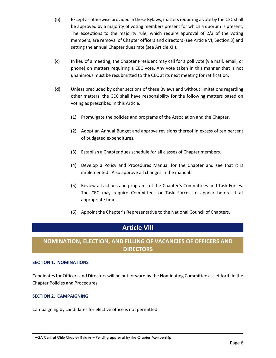- (b) Except as otherwise provided in these Bylaws, matters requiring a vote by the CEC shall be approved by a majority of voting members present for which a quorum is present, The exceptions to the majority rule, which require approval of 2/3 of the voting members, are removal of Chapter officers and directors (see Article VI, Section 3) and setting the annual Chapter dues rate (see Article XII).
- (c) In lieu of a meeting, the Chapter President may call for a poll vote (via mail, email, or phone) on matters requiring a CEC vote. Any vote taken in this manner that is not unanimous must be resubmitted to the CEC at its next meeting for ratification.
- (d) Unless precluded by other sections of these Bylaws and without limitations regarding other matters, the CEC shall have responsibility for the following matters based on voting as prescribed in this Article.
	- (1) Promulgate the policies and programs of the Association and the Chapter.
	- (2) Adopt an Annual Budget and approve revisions thereof in excess of ten percent of budgeted expenditures.
	- (3) Establish a Chapter dues schedule for all classes of Chapter members.
	- (4) Develop a Policy and Procedures Manual for the Chapter and see that it is implemented. Also approve all changes in the manual.
	- (5) Review all actions and programs of the Chapter's Committees and Task Forces. The CEC may require Committees or Task Forces to appear before it at appropriate times.
	- (6) Appoint the Chapter's Representative to the National Council of Chapters.

# **Article VIII**

# **NOMINATION, ELECTION, AND FILLING OF VACANCIES OF OFFICERS AND DIRECTORS**

### **SECTION 1. NOMINATIONS**

Candidates for Officers and Directors will be put forward by the Nominating Committee as set forth in the Chapter Policies and Procedures.

### **SECTION 2. CAMPAIGNING**

Campaigning by candidates for elective office is not permitted.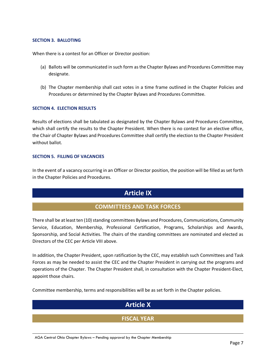### **SECTION 3. BALLOTING**

When there is a contest for an Officer or Director position:

- (a) Ballots will be communicated in such form as the Chapter Bylaws and Procedures Committee may designate.
- (b) The Chapter membership shall cast votes in a time frame outlined in the Chapter Policies and Procedures or determined by the Chapter Bylaws and Procedures Committee.

### **SECTION 4. ELECTION RESULTS**

Results of elections shall be tabulated as designated by the Chapter Bylaws and Procedures Committee, which shall certify the results to the Chapter President. When there is no contest for an elective office, the Chair of Chapter Bylaws and Procedures Committee shall certify the election to the Chapter President without ballot.

### **SECTION 5. FILLING OF VACANCIES**

In the event of a vacancy occurring in an Officer or Director position, the position will be filled as set forth in the Chapter Policies and Procedures.

## **Article IX**

### **COMMITTEES AND TASK FORCES**

There shall be at least ten (10) standing committees Bylaws and Procedures, Communications, Community Service, Education, Membership, Professional Certification, Programs, Scholarships and Awards, Sponsorship, and Social Activities. The chairs of the standing committees are nominated and elected as Directors of the CEC per Article VIII above.

In addition, the Chapter President, upon ratification by the CEC, may establish such Committees and Task Forces as may be needed to assist the CEC and the Chapter President in carrying out the programs and operations of the Chapter. The Chapter President shall, in consultation with the Chapter President-Elect, appoint those chairs.

Committee membership, terms and responsibilities will be as set forth in the Chapter policies.

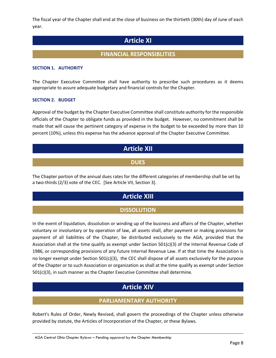The fiscal year of the Chapter shall end at the close of business on the thirtieth (30th) day of June of each year.

# **Article XI**

## **FINANCIAL RESPONSIBLITIES**

### **SECTION 1. AUTHORITY**

The Chapter Executive Committee shall have authority to prescribe such procedures as it deems appropriate to assure adequate budgetary and financial controls for the Chapter.

### **SECTION 2. BUDGET**

Approval of the budget by the Chapter Executive Committee shall constitute authority for the responsible officials of the Chapter to obligate funds as provided in the budget. However, no commitment shall be made that will cause the pertinent category of expense in the budget to be exceeded by more than 10 percent (10%), unless this expense has the advance approval of the Chapter Executive Committee.

# **Article XII**

### **DUES**

The Chapter portion of the annual dues rates for the different categories of membership shall be set by a two-thirds (2/3) vote of the CEC. [See Article VII, Section 3].

# **Article XIII**

## **DISSOLUTION**

In the event of liquidation, dissolution or winding up of the business and affairs of the Chapter, whether voluntary or involuntary or by operation of law, all assets shall, after payment or making provisions for payment of all liabilities of the Chapter, be distributed exclusively to the AGA, provided that the Association shall at the time qualify as exempt under Section 501(c)(3) of the Internal Revenue Code of 1986, or corresponding provisions of any future Internal Revenue Law. If at that time the Association is no longer exempt under Section 501(c)(3), the CEC shall dispose of all assets exclusively for the purpose of the Chapter or to such Association or organization as shall at the time qualify as exempt under Section 501(c)(3), in such manner as the Chapter Executive Committee shall determine.

# **Article XIV**

### **PARLIAMENTARY AUTHORITY**

Robert's Rules of Order, Newly Revised, shall govern the proceedings of the Chapter unless otherwise provided by statute, the Articles of Incorporation of the Chapter, or these Bylaws.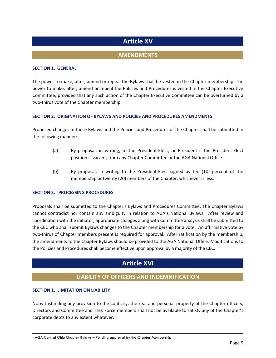# **Article XV**

### **AMENDMENTS**

### **SECTION 1. GENERAL**

The power to make, alter, amend or repeal the Bylaws shall be vested in the Chapter membership. The power to make, alter, amend or repeal the Policies and Procedures is vested in the Chapter Executive Committee, provided that any such action of the Chapter Executive Committee can be overturned by a two-thirds vote of the Chapter membership.

### **SECTION 2. ORIGINATION OF BYLAWS AND POLICIES AND PROCEDURES AMENDMENTS**

Proposed changes in these Bylaws and the Policies and Procedures of the Chapter shall be submitted in the following manner:

- (a) By proposal, in writing, to the President-Elect, or President if the President-Elect position is vacant, from any Chapter Committee or the AGA National Office.
- (b) By proposal, in writing to the President-Elect signed by ten (10) percent of the membership or twenty (20) members of the Chapter, whichever is less.

### **SECTION 3. PROCESSING PROCEDURES**

Proposals shall be submitted to the Chapter's Bylaws and Procedures Committee. The Chapter Bylaws cannot contradict nor contain any ambiguity in relation to AGA's National Bylaws. After review and coordination with the initiator, appropriate changes along with Committee analysis shall be submitted to the CEC who shall submit Bylaws changes to the Chapter membership for a vote. An affirmative vote by two-thirds of Chapter members present is required for approval. After ratification by the membership, the amendments to the Chapter Bylaws should be provided to the AGA National Office. Modifications to the Policies and Procedures shall become effective upon approval by a majority of the CEC.

# **Article XVI**

### **LIABILITY OF OFFICERS AND INDEMNIFICATION**

#### **SECTION 1. LIMITATION ON LIABILITY**

Notwithstanding any provision to the contrary, the real and personal property of the Chapter officers, Directors and Committee and Task Force members shall not be available to satisfy any of the Chapter's corporate debts to any extent whatever.